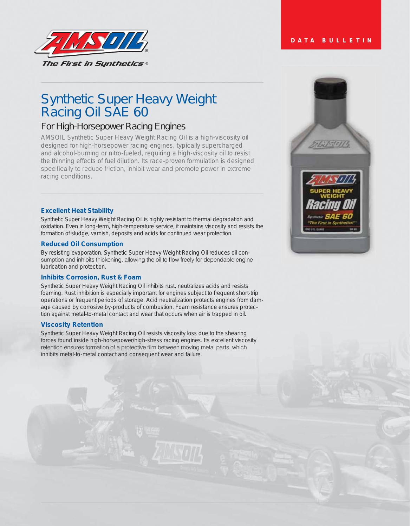

# Synthetic Super Heavy Weight Racing Oil SAE 60

## For High-Horsepower Racing Engines

AMSOIL Synthetic Super Heavy Weight Racing Oil is a high-viscosity oil designed for high-horsepower racing engines, typically supercharged and alcohol-burning or nitro-fueled, requiring a high-viscosity oil to resist the thinning effects of fuel dilution. Its race-proven formulation is designed specifically to reduce friction, inhibit wear and promote power in extreme racing conditions.

## **Excellent Heat Stability**

Synthetic Super Heavy Weight Racing Oil is highly resistant to thermal degradation and oxidation. Even in long-term, high-temperature service, it maintains viscosity and resists the formation of sludge, varnish, deposits and acids for continued wear protection.

## **Reduced Oil Consumption**

By resisting evaporation, Synthetic Super Heavy Weight Racing Oil reduces oil consumption and inhibits thickening, allowing the oil to flow freely for dependable engine lubrication and protection.

## **Inhibits Corrosion, Rust & Foam**

Synthetic Super Heavy Weight Racing Oil inhibits rust, neutralizes acids and resists foaming. Rust inhibition is especially important for engines subject to frequent short-trip operations or frequent periods of storage. Acid neutralization protects engines from damage caused by corrosive by-products of combustion. Foam resistance ensures protection against metal-to-metal contact and wear that occurs when air is trapped in oil.

## **Viscosity Retention**

Synthetic Super Heavy Weight Racing Oil resists viscosity loss due to the shearing forces found inside high-horsepower/high-stress racing engines. Its excellent viscosity retention ensures formation of a protective film between moving metal parts, which inhibits metal-to-metal contact and consequent wear and failure.

## **DATA BULLETIN**